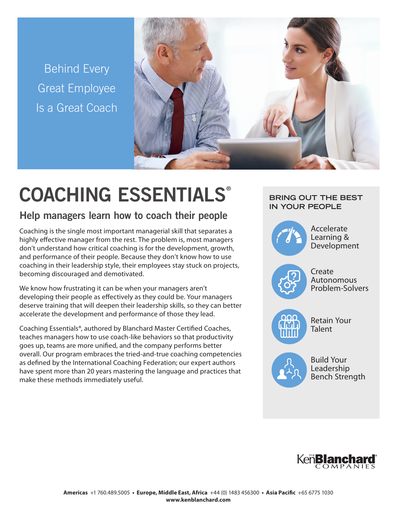Behind Every Great Employee Is a Great Coach



# COACHING ESSENTIALS®

# Help managers learn how to coach their people

Coaching is the single most important managerial skill that separates a highly effective manager from the rest. The problem is, most managers don't understand how critical coaching is for the development, growth, and performance of their people. Because they don't know how to use coaching in their leadership style, their employees stay stuck on projects, becoming discouraged and demotivated.

We know how frustrating it can be when your managers aren't developing their people as effectively as they could be. Your managers deserve training that will deepen their leadership skills, so they can better accelerate the development and performance of those they lead.

Coaching Essentials®, authored by Blanchard Master Certified Coaches, teaches managers how to use coach-like behaviors so that productivity goes up, teams are more unified, and the company performs better overall. Our program embraces the tried-and-true coaching competencies as defined by the International Coaching Federation; our expert authors have spent more than 20 years mastering the language and practices that make these methods immediately useful.